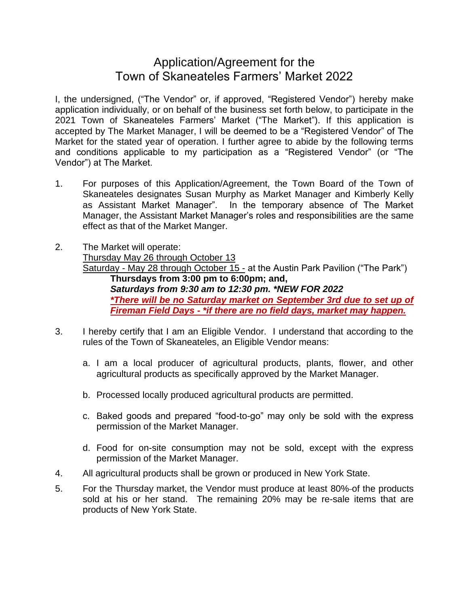## Application/Agreement for the Town of Skaneateles Farmers' Market 2022

I, the undersigned, ("The Vendor" or, if approved, "Registered Vendor") hereby make application individually, or on behalf of the business set forth below, to participate in the 2021 Town of Skaneateles Farmers' Market ("The Market"). If this application is accepted by The Market Manager, I will be deemed to be a "Registered Vendor" of The Market for the stated year of operation. I further agree to abide by the following terms and conditions applicable to my participation as a "Registered Vendor" (or "The Vendor") at The Market.

- 1. For purposes of this Application/Agreement, the Town Board of the Town of Skaneateles designates Susan Murphy as Market Manager and Kimberly Kelly as Assistant Market Manager". In the temporary absence of The Market Manager, the Assistant Market Manager's roles and responsibilities are the same effect as that of the Market Manger.
- 2. The Market will operate: Thursday May 26 through October 13 Saturday - May 28 through October 15 - at the Austin Park Pavilion ("The Park") **Thursdays from 3:00 pm to 6:00pm; and,** *Saturdays from 9:30 am to 12:30 pm. \*NEW FOR 2022 \*There will be no Saturday market on September 3rd due to set up of Fireman Field Days - \*if there are no field days, market may happen.*
- 3. I hereby certify that I am an Eligible Vendor. I understand that according to the rules of the Town of Skaneateles, an Eligible Vendor means:
	- a. I am a local producer of agricultural products, plants, flower, and other agricultural products as specifically approved by the Market Manager.
	- b. Processed locally produced agricultural products are permitted.
	- c. Baked goods and prepared "food-to-go" may only be sold with the express permission of the Market Manager.
	- d. Food for on-site consumption may not be sold, except with the express permission of the Market Manager.
- 4. All agricultural products shall be grown or produced in New York State.
- 5. For the Thursday market, the Vendor must produce at least 80% of the products sold at his or her stand. The remaining 20% may be re-sale items that are products of New York State.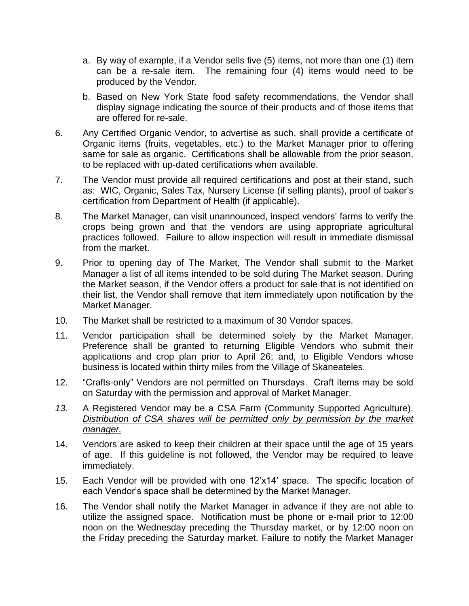- a. By way of example, if a Vendor sells five (5) items, not more than one (1) item can be a re-sale item. The remaining four (4) items would need to be produced by the Vendor.
- b. Based on New York State food safety recommendations, the Vendor shall display signage indicating the source of their products and of those items that are offered for re-sale.
- 6. Any Certified Organic Vendor, to advertise as such, shall provide a certificate of Organic items (fruits, vegetables, etc.) to the Market Manager prior to offering same for sale as organic. Certifications shall be allowable from the prior season, to be replaced with up-dated certifications when available.
- 7. The Vendor must provide all required certifications and post at their stand, such as: WIC, Organic, Sales Tax, Nursery License (if selling plants), proof of baker's certification from Department of Health (if applicable).
- 8. The Market Manager, can visit unannounced, inspect vendors' farms to verify the crops being grown and that the vendors are using appropriate agricultural practices followed. Failure to allow inspection will result in immediate dismissal from the market.
- 9. Prior to opening day of The Market, The Vendor shall submit to the Market Manager a list of all items intended to be sold during The Market season. During the Market season, if the Vendor offers a product for sale that is not identified on their list, the Vendor shall remove that item immediately upon notification by the Market Manager.
- 10. The Market shall be restricted to a maximum of 30 Vendor spaces.
- 11. Vendor participation shall be determined solely by the Market Manager. Preference shall be granted to returning Eligible Vendors who submit their applications and crop plan prior to April 26; and, to Eligible Vendors whose business is located within thirty miles from the Village of Skaneateles.
- 12. "Crafts-only" Vendors are not permitted on Thursdays. Craft items may be sold on Saturday with the permission and approval of Market Manager.
- *13.* A Registered Vendor may be a CSA Farm (Community Supported Agriculture). *Distribution of CSA shares will be permitted only by permission by the market manager.*
- 14. Vendors are asked to keep their children at their space until the age of 15 years of age. If this guideline is not followed, the Vendor may be required to leave immediately.
- 15. Each Vendor will be provided with one 12'x14' space. The specific location of each Vendor's space shall be determined by the Market Manager.
- 16. The Vendor shall notify the Market Manager in advance if they are not able to utilize the assigned space. Notification must be phone or e-mail prior to 12:00 noon on the Wednesday preceding the Thursday market, or by 12:00 noon on the Friday preceding the Saturday market. Failure to notify the Market Manager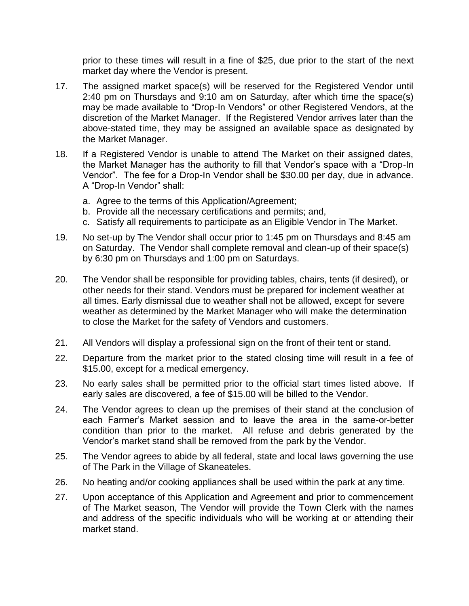prior to these times will result in a fine of \$25, due prior to the start of the next market day where the Vendor is present.

- 17. The assigned market space(s) will be reserved for the Registered Vendor until 2:40 pm on Thursdays and 9:10 am on Saturday, after which time the space(s) may be made available to "Drop-In Vendors" or other Registered Vendors, at the discretion of the Market Manager. If the Registered Vendor arrives later than the above-stated time, they may be assigned an available space as designated by the Market Manager.
- 18. If a Registered Vendor is unable to attend The Market on their assigned dates, the Market Manager has the authority to fill that Vendor's space with a "Drop-In Vendor". The fee for a Drop-In Vendor shall be \$30.00 per day, due in advance. A "Drop-In Vendor" shall:
	- a. Agree to the terms of this Application/Agreement;
	- b. Provide all the necessary certifications and permits; and,
	- c. Satisfy all requirements to participate as an Eligible Vendor in The Market.
- 19. No set-up by The Vendor shall occur prior to 1:45 pm on Thursdays and 8:45 am on Saturday. The Vendor shall complete removal and clean-up of their space(s) by 6:30 pm on Thursdays and 1:00 pm on Saturdays.
- 20. The Vendor shall be responsible for providing tables, chairs, tents (if desired), or other needs for their stand. Vendors must be prepared for inclement weather at all times. Early dismissal due to weather shall not be allowed, except for severe weather as determined by the Market Manager who will make the determination to close the Market for the safety of Vendors and customers.
- 21. All Vendors will display a professional sign on the front of their tent or stand.
- 22. Departure from the market prior to the stated closing time will result in a fee of \$15.00, except for a medical emergency.
- 23. No early sales shall be permitted prior to the official start times listed above. If early sales are discovered, a fee of \$15.00 will be billed to the Vendor.
- 24. The Vendor agrees to clean up the premises of their stand at the conclusion of each Farmer's Market session and to leave the area in the same-or-better condition than prior to the market. All refuse and debris generated by the Vendor's market stand shall be removed from the park by the Vendor.
- 25. The Vendor agrees to abide by all federal, state and local laws governing the use of The Park in the Village of Skaneateles.
- 26. No heating and/or cooking appliances shall be used within the park at any time.
- 27. Upon acceptance of this Application and Agreement and prior to commencement of The Market season, The Vendor will provide the Town Clerk with the names and address of the specific individuals who will be working at or attending their market stand.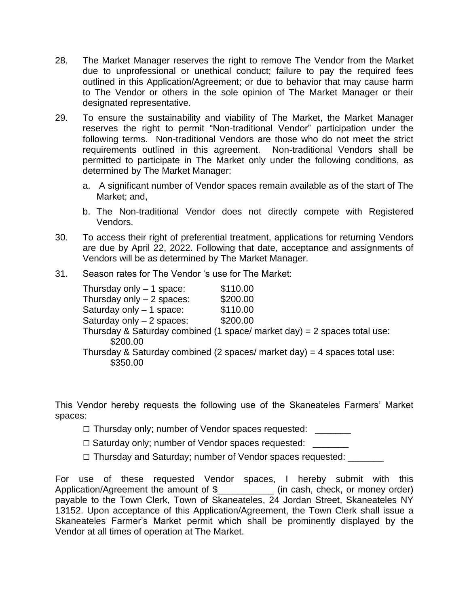- 28. The Market Manager reserves the right to remove The Vendor from the Market due to unprofessional or unethical conduct; failure to pay the required fees outlined in this Application/Agreement; or due to behavior that may cause harm to The Vendor or others in the sole opinion of The Market Manager or their designated representative.
- 29. To ensure the sustainability and viability of The Market, the Market Manager reserves the right to permit "Non-traditional Vendor" participation under the following terms. Non-traditional Vendors are those who do not meet the strict requirements outlined in this agreement. Non-traditional Vendors shall be permitted to participate in The Market only under the following conditions, as determined by The Market Manager:
	- a. A significant number of Vendor spaces remain available as of the start of The Market; and,
	- b. The Non-traditional Vendor does not directly compete with Registered Vendors.
- 30. To access their right of preferential treatment, applications for returning Vendors are due by April 22, 2022. Following that date, acceptance and assignments of Vendors will be as determined by The Market Manager.
- 31. Season rates for The Vendor 's use for The Market:

| Thursday only - 1 space:   | \$110.00                                                                  |
|----------------------------|---------------------------------------------------------------------------|
| Thursday only $-2$ spaces: | \$200.00                                                                  |
| Saturday only - 1 space:   | \$110.00                                                                  |
| Saturday only - 2 spaces:  | \$200.00                                                                  |
| \$200.00                   | Thursday & Saturday combined (1 space/ market day) = 2 spaces total use:  |
| \$350.00                   | Thursday & Saturday combined (2 spaces/ market day) = 4 spaces total use: |

This Vendor hereby requests the following use of the Skaneateles Farmers' Market spaces:

- □ Thursday only; number of Vendor spaces requested: \_\_\_\_\_\_\_
- □ Saturday only; number of Vendor spaces requested:
- □ Thursday and Saturday; number of Vendor spaces requested: \_\_\_\_\_\_\_

For use of these requested Vendor spaces, I hereby submit with this Application/Agreement the amount of \$ (in cash, check, or money order) payable to the Town Clerk, Town of Skaneateles, 24 Jordan Street, Skaneateles NY 13152. Upon acceptance of this Application/Agreement, the Town Clerk shall issue a Skaneateles Farmer's Market permit which shall be prominently displayed by the Vendor at all times of operation at The Market.